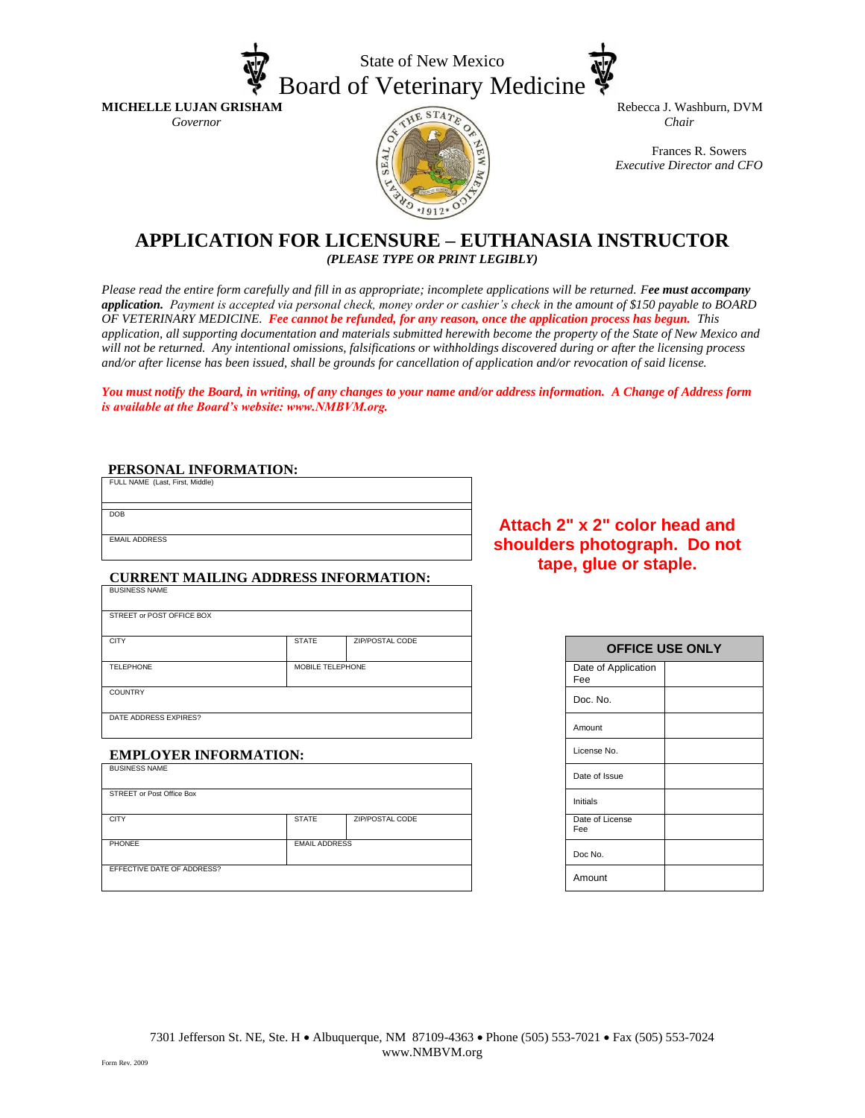



**MICHELLE LUJAN GRISHAM** Rebecca J. Washburn, DVM<br> *Governor* Chair

Frances R. Sowers *Executive Director and CFO*

## **APPLICATION FOR LICENSURE – EUTHANASIA INSTRUCTOR** *(PLEASE TYPE OR PRINT LEGIBLY)*

*Please read the entire form carefully and fill in as appropriate; incomplete applications will be returned. Fee must accompany application. Payment is accepted via personal check, money order or cashier's check in the amount of \$150 payable to BOARD OF VETERINARY MEDICINE. Fee cannot be refunded, for any reason, once the application process has begun. This application, all supporting documentation and materials submitted herewith become the property of the State of New Mexico and will not be returned. Any intentional omissions, falsifications or withholdings discovered during or after the licensing process and/or after license has been issued, shall be grounds for cancellation of application and/or revocation of said license.* 

*You must notify the Board, in writing, of any changes to your name and/or address information. A Change of Address form is available at the Board's website: www.NMBVM.org.*

#### **PERSONAL INFORMATION:**

| FULL NAME (Last, First, Middle) |  |
|---------------------------------|--|
| <b>DOB</b>                      |  |
|                                 |  |

EMAIL ADDRESS

#### **CURRENT MAILING ADDRESS INFORMATION:**

| <b>BUSINESS NAME</b>      |                  |                 |                            |
|---------------------------|------------------|-----------------|----------------------------|
| STREET or POST OFFICE BOX |                  |                 |                            |
| <b>CITY</b>               | <b>STATE</b>     | ZIP/POSTAL CODE | <b>OFFICE</b>              |
| <b>TELEPHONE</b>          | MOBILE TELEPHONE |                 | Date of Application<br>Fee |
| <b>COUNTRY</b>            |                  |                 | Doc. No.                   |
| DATE ADDRESS EXPIRES?     |                  |                 | $A = 1$                    |

### **EMPLOYER INFORMATION:**

| <b>BUSINESS NAME</b>       |                      |                 | Date of Issue          |
|----------------------------|----------------------|-----------------|------------------------|
| STREET or Post Office Box  |                      |                 | Initials               |
| <b>CITY</b>                | <b>STATE</b>         | ZIP/POSTAL CODE | Date of License<br>Fee |
| <b>PHONEE</b>              | <b>EMAIL ADDRESS</b> |                 | Doc No.                |
| EFFECTIVE DATE OF ADDRESS? |                      |                 | Amount                 |

## **Attach 2" x 2" color head and shoulders photograph. Do not tape, glue or staple.**

| <b>OFFICE USE ONLY</b>     |  |  |
|----------------------------|--|--|
| Date of Application<br>Fee |  |  |
| Doc. No.                   |  |  |
| Amount                     |  |  |
| License No.                |  |  |
| Date of Issue              |  |  |
| Initials                   |  |  |
| Date of License<br>Fee     |  |  |
| Doc No.                    |  |  |
| Amount                     |  |  |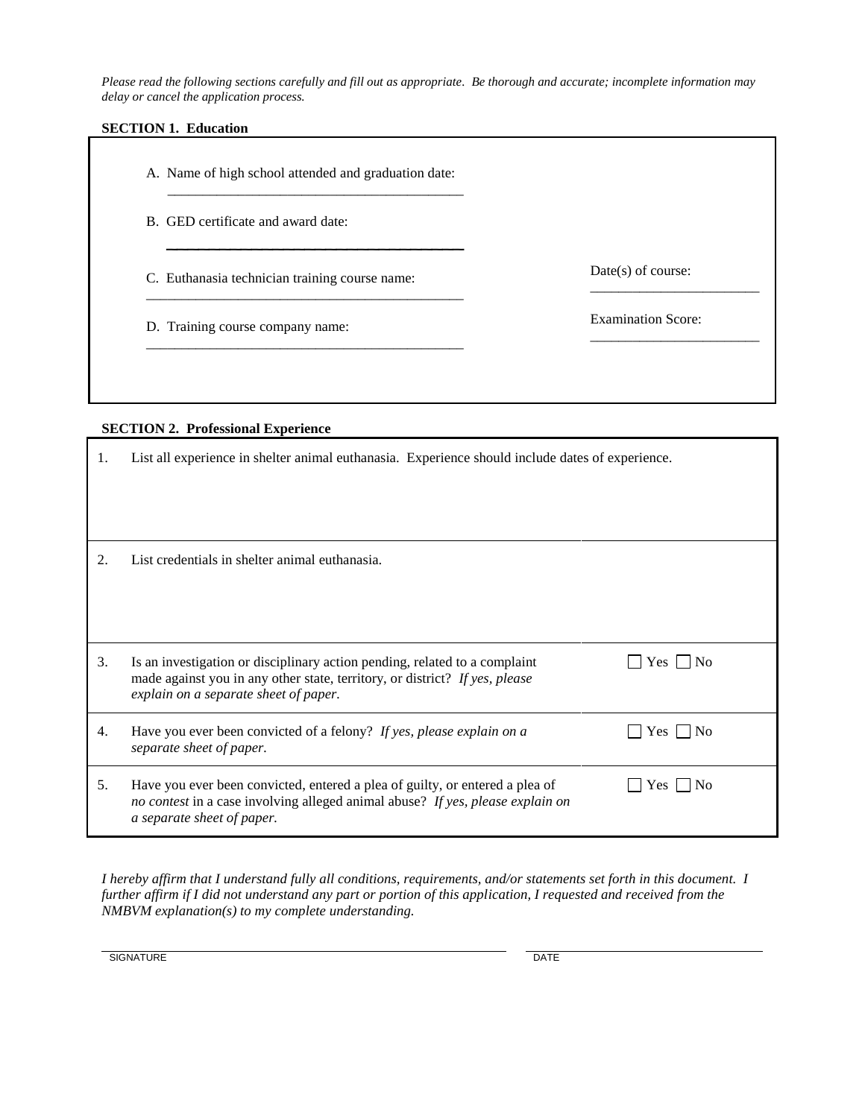*Please read the following sections carefully and fill out as appropriate. Be thorough and accurate; incomplete information may delay or cancel the application process.*

### **SECTION 1. Education**

A. Name of high school attended and graduation date:  $\overline{\phantom{a}}$  , and the contract of the contract of the contract of the contract of the contract of the contract of the contract of the contract of the contract of the contract of the contract of the contract of the contrac

 $\overline{\phantom{a}}$  , which is a set of the set of the set of the set of the set of the set of the set of the set of the set of the set of the set of the set of the set of the set of the set of the set of the set of the set of th

\_\_\_\_\_\_\_\_\_\_\_\_\_\_\_\_\_\_\_\_\_\_\_\_\_\_\_\_\_\_\_\_\_\_\_\_\_\_\_\_\_\_\_\_\_

\_\_\_\_\_\_\_\_\_\_\_\_\_\_\_\_\_\_\_\_\_\_\_\_\_\_\_\_\_\_\_\_\_\_\_\_\_\_\_\_\_\_\_\_\_

- B. GED certificate and award date:
- C. Euthanasia technician training course name:
- D. Training course company name:

Date(s) of course: \_\_\_\_\_\_\_\_\_\_\_\_\_\_\_\_\_\_\_\_\_\_\_\_

Examination Score:

\_\_\_\_\_\_\_\_\_\_\_\_\_\_\_\_\_\_\_\_\_\_\_\_

### **SECTION 2. Professional Experience**

| 1. | List all experience in shelter animal euthanasia. Experience should include dates of experience.                                                                                                   |               |
|----|----------------------------------------------------------------------------------------------------------------------------------------------------------------------------------------------------|---------------|
| 2. | List credentials in shelter animal euthanasia.                                                                                                                                                     |               |
| 3. | Is an investigation or disciplinary action pending, related to a complaint<br>made against you in any other state, territory, or district? If yes, please<br>explain on a separate sheet of paper. | $Yes \mid No$ |
| 4. | Have you ever been convicted of a felony? If yes, please explain on a<br>separate sheet of paper.                                                                                                  | $Yes \mid No$ |
| 5. | Have you ever been convicted, entered a plea of guilty, or entered a plea of<br>no contest in a case involving alleged animal abuse? If yes, please explain on<br>a separate sheet of paper.       | $ $ No<br>Yes |

*I hereby affirm that I understand fully all conditions, requirements, and/or statements set forth in this document. I*  further affirm if I did not understand any part or portion of this application, I requested and received from the *NMBVM explanation(s) to my complete understanding.*

SIGNATURE DATE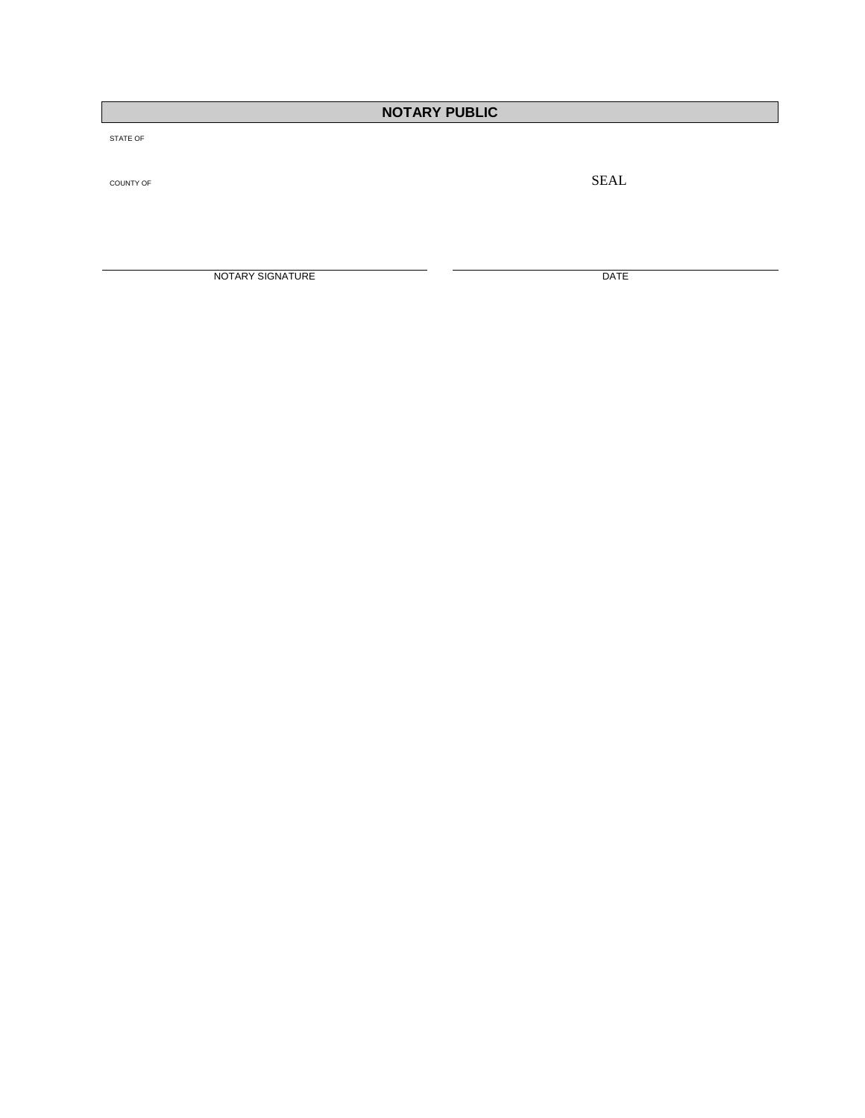# **NOTARY PUBLIC**

STATE OF

COUNTY OF SEAL COUNTY OF

NOTARY SIGNATURE DATE